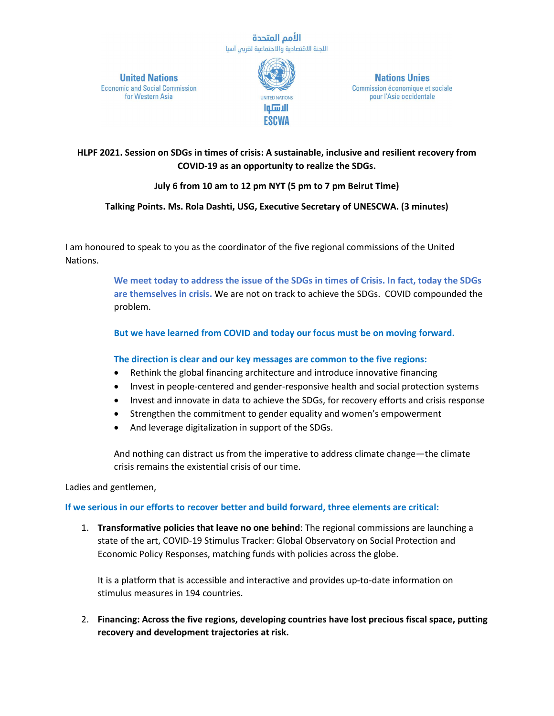#### الأمم المتحدة اللجنة الاقتصادية والاجتماعية لغربى آسيا

**United Nations Economic and Social Commission** for Western Asia



**Nations Unies** Commission économique et sociale pour l'Asie occidentale

**HLPF 2021. Session on SDGs in times of crisis: A sustainable, inclusive and resilient recovery from COVID-19 as an opportunity to realize the SDGs.** 

# **July 6 from 10 am to 12 pm NYT (5 pm to 7 pm Beirut Time)**

## **Talking Points. Ms. Rola Dashti, USG, Executive Secretary of UNESCWA. (3 minutes)**

I am honoured to speak to you as the coordinator of the five regional commissions of the United Nations.

> **We meet today to address the issue of the SDGs in times of Crisis. In fact, today the SDGs are themselves in crisis.** We are not on track to achieve the SDGs. COVID compounded the problem.

**But we have learned from COVID and today our focus must be on moving forward.**

## **The direction is clear and our key messages are common to the five regions:**

- Rethink the global financing architecture and introduce innovative financing
- Invest in people-centered and gender-responsive health and social protection systems
- Invest and innovate in data to achieve the SDGs, for recovery efforts and crisis response
- Strengthen the commitment to gender equality and women's empowerment
- And leverage digitalization in support of the SDGs.

And nothing can distract us from the imperative to address climate change—the climate crisis remains the existential crisis of our time.

Ladies and gentlemen,

## **If we serious in our efforts to recover better and build forward, three elements are critical:**

1. **Transformative policies that leave no one behind**: The regional commissions are launching a state of the art, COVID-19 Stimulus Tracker: Global Observatory on Social Protection and Economic Policy Responses, matching funds with policies across the globe.

It is a platform that is accessible and interactive and provides up-to-date information on stimulus measures in 194 countries.

2. **Financing: Across the five regions, developing countries have lost precious fiscal space, putting recovery and development trajectories at risk.**